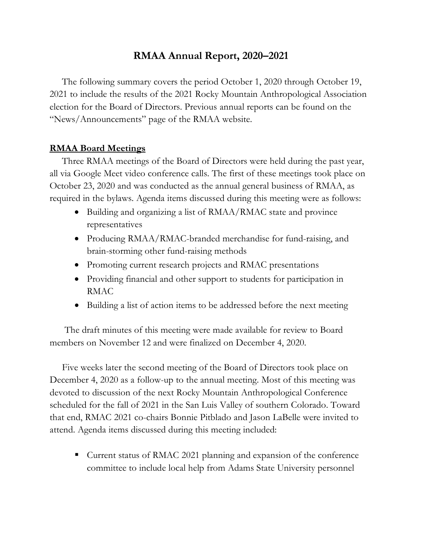# **RMAA Annual Report, 2020–2021**

The following summary covers the period October 1, 2020 through October 19, 2021 to include the results of the 2021 Rocky Mountain Anthropological Association election for the Board of Directors. Previous annual reports can be found on the "News/Announcements" page of the RMAA website.

## **RMAA Board Meetings**

Three RMAA meetings of the Board of Directors were held during the past year, all via Google Meet video conference calls. The first of these meetings took place on October 23, 2020 and was conducted as the annual general business of RMAA, as required in the bylaws. Agenda items discussed during this meeting were as follows:

- Building and organizing a list of RMAA/RMAC state and province representatives
- Producing RMAA/RMAC-branded merchandise for fund-raising, and brain-storming other fund-raising methods
- Promoting current research projects and RMAC presentations
- Providing financial and other support to students for participation in RMAC
- Building a list of action items to be addressed before the next meeting

The draft minutes of this meeting were made available for review to Board members on November 12 and were finalized on December 4, 2020.

Five weeks later the second meeting of the Board of Directors took place on December 4, 2020 as a follow-up to the annual meeting. Most of this meeting was devoted to discussion of the next Rocky Mountain Anthropological Conference scheduled for the fall of 2021 in the San Luis Valley of southern Colorado. Toward that end, RMAC 2021 co-chairs Bonnie Pitblado and Jason LaBelle were invited to attend. Agenda items discussed during this meeting included:

 Current status of RMAC 2021 planning and expansion of the conference committee to include local help from Adams State University personnel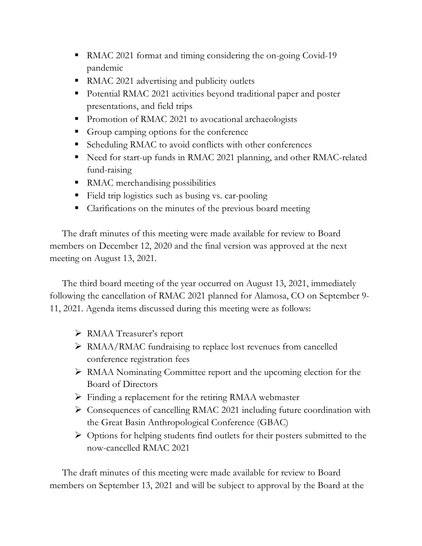- RMAC 2021 format and timing considering the on-going Covid-19 pandemic
- RMAC 2021 advertising and publicity outlets
- Potential RMAC 2021 activities beyond traditional paper and poster presentations, and field trips
- Promotion of RMAC 2021 to avocational archaeologists
- Group camping options for the conference
- Scheduling RMAC to avoid conflicts with other conferences
- Need for start-up funds in RMAC 2021 planning, and other RMAC-related fund-raising
- RMAC merchandising possibilities
- Field trip logistics such as busing vs. car-pooling
- Clarifications on the minutes of the previous board meeting

The draft minutes of this meeting were made available for review to Board members on December 12, 2020 and the final version was approved at the next meeting on August 13, 2021.

The third board meeting of the year occurred on August 13, 2021, immediately following the cancellation of RMAC 2021 planned for Alamosa, CO on September 9- 11, 2021. Agenda items discussed during this meeting were as follows:

- RMAA Treasurer's report
- RMAA/RMAC fundraising to replace lost revenues from cancelled conference registration fees
- RMAA Nominating Committee report and the upcoming election for the Board of Directors
- Finding a replacement for the retiring RMAA webmaster
- Consequences of cancelling RMAC 2021 including future coordination with the Great Basin Anthropological Conference (GBAC)
- $\triangleright$  Options for helping students find outlets for their posters submitted to the now-cancelled RMAC 2021

The draft minutes of this meeting were made available for review to Board members on September 13, 2021 and will be subject to approval by the Board at the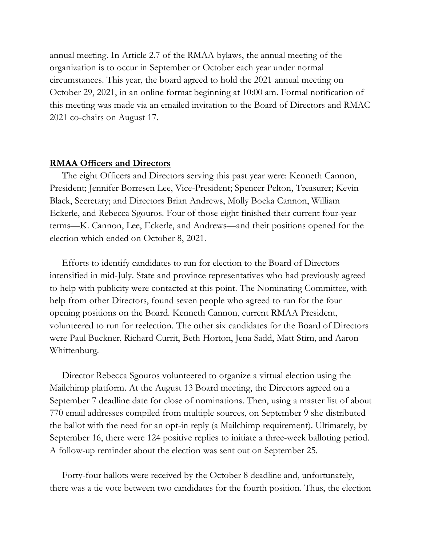annual meeting. In Article 2.7 of the RMAA bylaws, the annual meeting of the organization is to occur in September or October each year under normal circumstances. This year, the board agreed to hold the 2021 annual meeting on October 29, 2021, in an online format beginning at 10:00 am. Formal notification of this meeting was made via an emailed invitation to the Board of Directors and RMAC 2021 co-chairs on August 17.

## **RMAA Officers and Directors**

The eight Officers and Directors serving this past year were: Kenneth Cannon, President; Jennifer Borresen Lee, Vice-President; Spencer Pelton, Treasurer; Kevin Black, Secretary; and Directors Brian Andrews, Molly Boeka Cannon, William Eckerle, and Rebecca Sgouros. Four of those eight finished their current four-year terms—K. Cannon, Lee, Eckerle, and Andrews—and their positions opened for the election which ended on October 8, 2021.

Efforts to identify candidates to run for election to the Board of Directors intensified in mid-July. State and province representatives who had previously agreed to help with publicity were contacted at this point. The Nominating Committee, with help from other Directors, found seven people who agreed to run for the four opening positions on the Board. Kenneth Cannon, current RMAA President, volunteered to run for reelection. The other six candidates for the Board of Directors were Paul Buckner, Richard Currit, Beth Horton, Jena Sadd, Matt Stirn, and Aaron Whittenburg.

Director Rebecca Sgouros volunteered to organize a virtual election using the Mailchimp platform. At the August 13 Board meeting, the Directors agreed on a September 7 deadline date for close of nominations. Then, using a master list of about 770 email addresses compiled from multiple sources, on September 9 she distributed the ballot with the need for an opt-in reply (a Mailchimp requirement). Ultimately, by September 16, there were 124 positive replies to initiate a three-week balloting period. A follow-up reminder about the election was sent out on September 25.

Forty-four ballots were received by the October 8 deadline and, unfortunately, there was a tie vote between two candidates for the fourth position. Thus, the election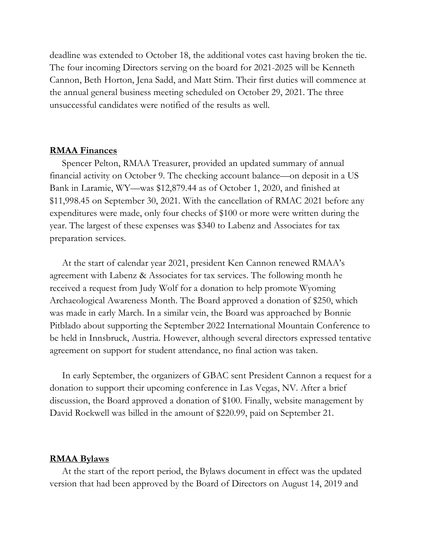deadline was extended to October 18, the additional votes cast having broken the tie. The four incoming Directors serving on the board for 2021-2025 will be Kenneth Cannon, Beth Horton, Jena Sadd, and Matt Stirn. Their first duties will commence at the annual general business meeting scheduled on October 29, 2021. The three unsuccessful candidates were notified of the results as well.

#### **RMAA Finances**

Spencer Pelton, RMAA Treasurer, provided an updated summary of annual financial activity on October 9. The checking account balance—on deposit in a US Bank in Laramie, WY—was \$12,879.44 as of October 1, 2020, and finished at \$11,998.45 on September 30, 2021. With the cancellation of RMAC 2021 before any expenditures were made, only four checks of \$100 or more were written during the year. The largest of these expenses was \$340 to Labenz and Associates for tax preparation services.

At the start of calendar year 2021, president Ken Cannon renewed RMAA's agreement with Labenz & Associates for tax services. The following month he received a request from Judy Wolf for a donation to help promote Wyoming Archaeological Awareness Month. The Board approved a donation of \$250, which was made in early March. In a similar vein, the Board was approached by Bonnie Pitblado about supporting the September 2022 International Mountain Conference to be held in Innsbruck, Austria. However, although several directors expressed tentative agreement on support for student attendance, no final action was taken.

In early September, the organizers of GBAC sent President Cannon a request for a donation to support their upcoming conference in Las Vegas, NV. After a brief discussion, the Board approved a donation of \$100. Finally, website management by David Rockwell was billed in the amount of \$220.99, paid on September 21.

#### **RMAA Bylaws**

At the start of the report period, the Bylaws document in effect was the updated version that had been approved by the Board of Directors on August 14, 2019 and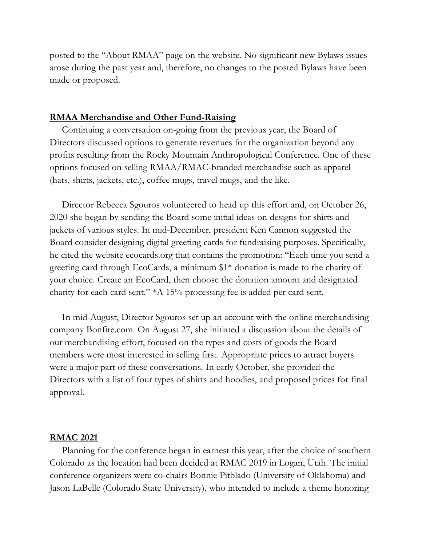posted to the "About RMAA" page on the website. No significant new Bylaws issues arose during the past year and, therefore, no changes to the posted Bylaws have been made or proposed.

## **RMAA Merchandise and Other Fund-Raising**

Continuing a conversation on-going from the previous year, the Board of Directors discussed options to generate revenues for the organization beyond any profits resulting from the Rocky Mountain Anthropological Conference. One of these options focused on selling RMAA/RMAC-branded merchandise such as apparel (hats, shirts, jackets, etc.), coffee mugs, travel mugs, and the like.

Director Rebecca Sgouros volunteered to head up this effort and, on October 26, 2020 she began by sending the Board some initial ideas on designs for shirts and jackets of various styles. In mid-December, president Ken Cannon suggested the Board consider designing digital greeting cards for fundraising purposes. Specifically, he cited the website ecocards.org that contains the promotion: "Each time you send a greeting card through EcoCards, a minimum \$1\* donation is made to the charity of your choice. Create an EcoCard, then choose the donation amount and designated charity for each card sent." \*A 15% processing fee is added per card sent.

In mid-August, Director Sgouros set up an account with the online merchandising company Bonfire.com. On August 27, she initiated a discussion about the details of our merchandising effort, focused on the types and costs of goods the Board members were most interested in selling first. Appropriate prices to attract buyers were a major part of these conversations. In early October, she provided the Directors with a list of four types of shirts and hoodies, and proposed prices for final approval.

## **RMAC 2021**

Planning for the conference began in earnest this year, after the choice of southern Colorado as the location had been decided at RMAC 2019 in Logan, Utah. The initial conference organizers were co-chairs Bonnie Pitblado (University of Oklahoma) and Jason LaBelle (Colorado State University), who intended to include a theme honoring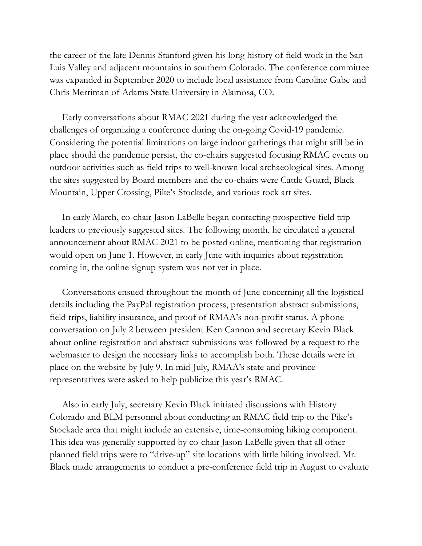the career of the late Dennis Stanford given his long history of field work in the San Luis Valley and adjacent mountains in southern Colorado. The conference committee was expanded in September 2020 to include local assistance from Caroline Gabe and Chris Merriman of Adams State University in Alamosa, CO.

Early conversations about RMAC 2021 during the year acknowledged the challenges of organizing a conference during the on-going Covid-19 pandemic. Considering the potential limitations on large indoor gatherings that might still be in place should the pandemic persist, the co-chairs suggested focusing RMAC events on outdoor activities such as field trips to well-known local archaeological sites. Among the sites suggested by Board members and the co-chairs were Cattle Guard, Black Mountain, Upper Crossing, Pike's Stockade, and various rock art sites.

In early March, co-chair Jason LaBelle began contacting prospective field trip leaders to previously suggested sites. The following month, he circulated a general announcement about RMAC 2021 to be posted online, mentioning that registration would open on June 1. However, in early June with inquiries about registration coming in, the online signup system was not yet in place.

Conversations ensued throughout the month of June concerning all the logistical details including the PayPal registration process, presentation abstract submissions, field trips, liability insurance, and proof of RMAA's non-profit status. A phone conversation on July 2 between president Ken Cannon and secretary Kevin Black about online registration and abstract submissions was followed by a request to the webmaster to design the necessary links to accomplish both. These details were in place on the website by July 9. In mid-July, RMAA's state and province representatives were asked to help publicize this year's RMAC.

Also in early July, secretary Kevin Black initiated discussions with History Colorado and BLM personnel about conducting an RMAC field trip to the Pike's Stockade area that might include an extensive, time-consuming hiking component. This idea was generally supported by co-chair Jason LaBelle given that all other planned field trips were to "drive-up" site locations with little hiking involved. Mr. Black made arrangements to conduct a pre-conference field trip in August to evaluate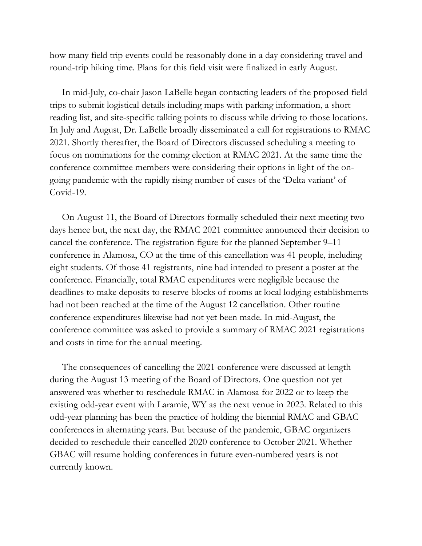how many field trip events could be reasonably done in a day considering travel and round-trip hiking time. Plans for this field visit were finalized in early August.

In mid-July, co-chair Jason LaBelle began contacting leaders of the proposed field trips to submit logistical details including maps with parking information, a short reading list, and site-specific talking points to discuss while driving to those locations. In July and August, Dr. LaBelle broadly disseminated a call for registrations to RMAC 2021. Shortly thereafter, the Board of Directors discussed scheduling a meeting to focus on nominations for the coming election at RMAC 2021. At the same time the conference committee members were considering their options in light of the ongoing pandemic with the rapidly rising number of cases of the 'Delta variant' of Covid-19.

On August 11, the Board of Directors formally scheduled their next meeting two days hence but, the next day, the RMAC 2021 committee announced their decision to cancel the conference. The registration figure for the planned September 9–11 conference in Alamosa, CO at the time of this cancellation was 41 people, including eight students. Of those 41 registrants, nine had intended to present a poster at the conference. Financially, total RMAC expenditures were negligible because the deadlines to make deposits to reserve blocks of rooms at local lodging establishments had not been reached at the time of the August 12 cancellation. Other routine conference expenditures likewise had not yet been made. In mid-August, the conference committee was asked to provide a summary of RMAC 2021 registrations and costs in time for the annual meeting.

The consequences of cancelling the 2021 conference were discussed at length during the August 13 meeting of the Board of Directors. One question not yet answered was whether to reschedule RMAC in Alamosa for 2022 or to keep the existing odd-year event with Laramie, WY as the next venue in 2023. Related to this odd-year planning has been the practice of holding the biennial RMAC and GBAC conferences in alternating years. But because of the pandemic, GBAC organizers decided to reschedule their cancelled 2020 conference to October 2021. Whether GBAC will resume holding conferences in future even-numbered years is not currently known.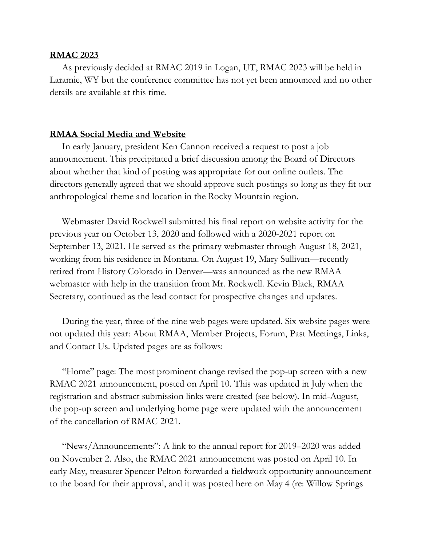## **RMAC 2023**

As previously decided at RMAC 2019 in Logan, UT, RMAC 2023 will be held in Laramie, WY but the conference committee has not yet been announced and no other details are available at this time.

## **RMAA Social Media and Website**

In early January, president Ken Cannon received a request to post a job announcement. This precipitated a brief discussion among the Board of Directors about whether that kind of posting was appropriate for our online outlets. The directors generally agreed that we should approve such postings so long as they fit our anthropological theme and location in the Rocky Mountain region.

Webmaster David Rockwell submitted his final report on website activity for the previous year on October 13, 2020 and followed with a 2020-2021 report on September 13, 2021. He served as the primary webmaster through August 18, 2021, working from his residence in Montana. On August 19, Mary Sullivan—recently retired from History Colorado in Denver—was announced as the new RMAA webmaster with help in the transition from Mr. Rockwell. Kevin Black, RMAA Secretary, continued as the lead contact for prospective changes and updates.

During the year, three of the nine web pages were updated. Six website pages were not updated this year: About RMAA, Member Projects, Forum, Past Meetings, Links, and Contact Us. Updated pages are as follows:

"Home" page: The most prominent change revised the pop-up screen with a new RMAC 2021 announcement, posted on April 10. This was updated in July when the registration and abstract submission links were created (see below). In mid-August, the pop-up screen and underlying home page were updated with the announcement of the cancellation of RMAC 2021.

"News/Announcements": A link to the annual report for 2019–2020 was added on November 2. Also, the RMAC 2021 announcement was posted on April 10. In early May, treasurer Spencer Pelton forwarded a fieldwork opportunity announcement to the board for their approval, and it was posted here on May 4 (re: Willow Springs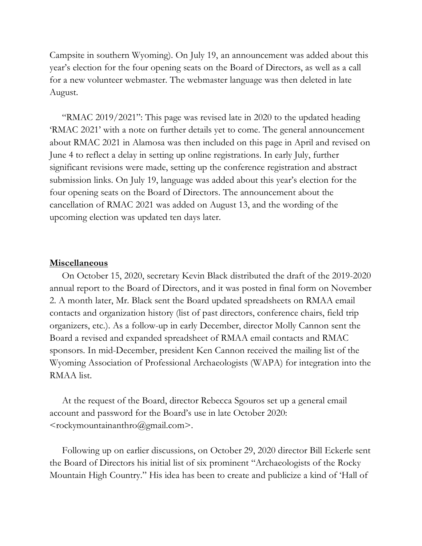Campsite in southern Wyoming). On July 19, an announcement was added about this year's election for the four opening seats on the Board of Directors, as well as a call for a new volunteer webmaster. The webmaster language was then deleted in late August.

"RMAC 2019/2021": This page was revised late in 2020 to the updated heading 'RMAC 2021' with a note on further details yet to come. The general announcement about RMAC 2021 in Alamosa was then included on this page in April and revised on June 4 to reflect a delay in setting up online registrations. In early July, further significant revisions were made, setting up the conference registration and abstract submission links. On July 19, language was added about this year's election for the four opening seats on the Board of Directors. The announcement about the cancellation of RMAC 2021 was added on August 13, and the wording of the upcoming election was updated ten days later.

#### **Miscellaneous**

On October 15, 2020, secretary Kevin Black distributed the draft of the 2019-2020 annual report to the Board of Directors, and it was posted in final form on November 2. A month later, Mr. Black sent the Board updated spreadsheets on RMAA email contacts and organization history (list of past directors, conference chairs, field trip organizers, etc.). As a follow-up in early December, director Molly Cannon sent the Board a revised and expanded spreadsheet of RMAA email contacts and RMAC sponsors. In mid-December, president Ken Cannon received the mailing list of the Wyoming Association of Professional Archaeologists (WAPA) for integration into the RMAA list.

At the request of the Board, director Rebecca Sgouros set up a general email account and password for the Board's use in late October 2020:  $<$ rockymountainanthro $@g$ mail.com>.

Following up on earlier discussions, on October 29, 2020 director Bill Eckerle sent the Board of Directors his initial list of six prominent "Archaeologists of the Rocky Mountain High Country." His idea has been to create and publicize a kind of 'Hall of